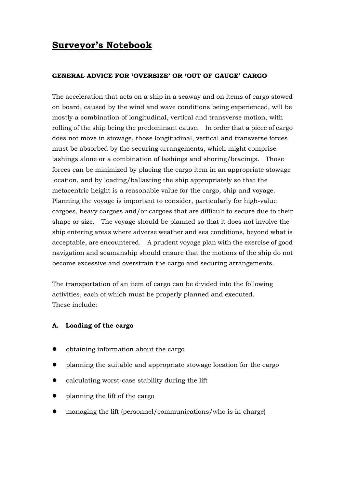# **Surveyor's Notebook**

### **GENERAL ADVICE FOR 'OVERSIZE' OR 'OUT OF GAUGE' CARGO**

The acceleration that acts on a ship in a seaway and on items of cargo stowed on board, caused by the wind and wave conditions being experienced, will be mostly a combination of longitudinal, vertical and transverse motion, with rolling of the ship being the predominant cause. In order that a piece of cargo does not move in stowage, those longitudinal, vertical and transverse forces must be absorbed by the securing arrangements, which might comprise lashings alone or a combination of lashings and shoring/bracings. Those forces can be minimized by placing the cargo item in an appropriate stowage location, and by loading/ballasting the ship appropriately so that the metacentric height is a reasonable value for the cargo, ship and voyage. Planning the voyage is important to consider, particularly for high-value cargoes, heavy cargoes and/or cargoes that are difficult to secure due to their shape or size. The voyage should be planned so that it does not involve the ship entering areas where adverse weather and sea conditions, beyond what is acceptable, are encountered. A prudent voyage plan with the exercise of good navigation and seamanship should ensure that the motions of the ship do not become excessive and overstrain the cargo and securing arrangements.

The transportation of an item of cargo can be divided into the following activities, each of which must be properly planned and executed. These include:

# **A. Loading of the cargo**

- obtaining information about the cargo
- planning the suitable and appropriate stowage location for the cargo
- calculating worst-case stability during the lift
- planning the lift of the cargo
- managing the lift (personnel/communications/who is in charge)